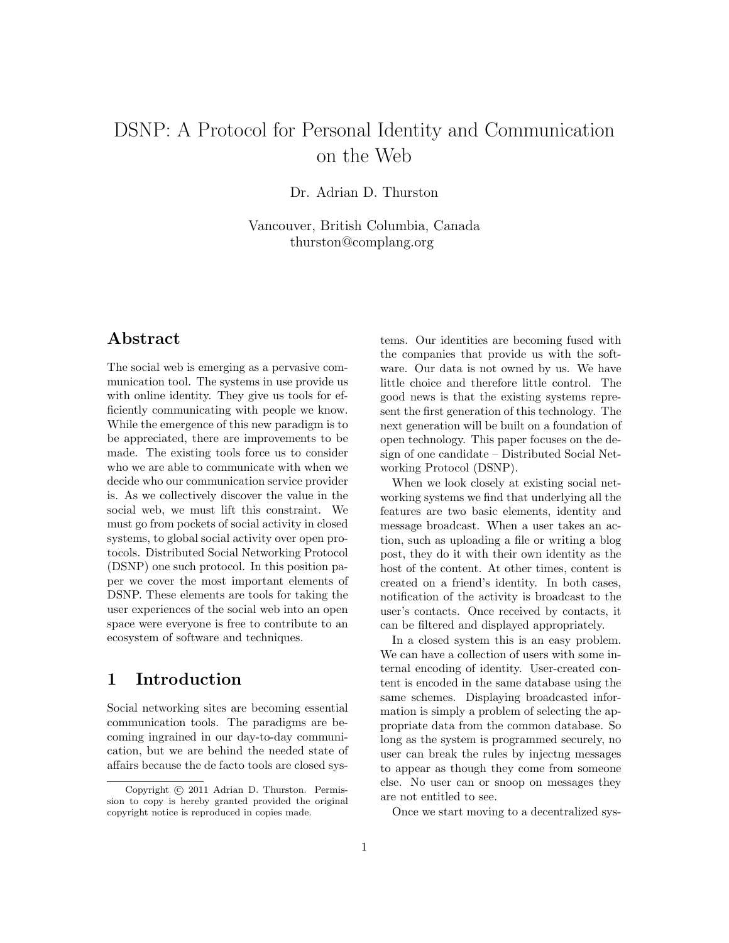# DSNP: A Protocol for Personal Identity and Communication on the Web

Dr. Adrian D. Thurston

Vancouver, British Columbia, Canada thurston@complang.org

### Abstract

The social web is emerging as a pervasive communication tool. The systems in use provide us with online identity. They give us tools for efficiently communicating with people we know. While the emergence of this new paradigm is to be appreciated, there are improvements to be made. The existing tools force us to consider who we are able to communicate with when we decide who our communication service provider is. As we collectively discover the value in the social web, we must lift this constraint. We must go from pockets of social activity in closed systems, to global social activity over open protocols. Distributed Social Networking Protocol (DSNP) one such protocol. In this position paper we cover the most important elements of DSNP. These elements are tools for taking the user experiences of the social web into an open space were everyone is free to contribute to an ecosystem of software and techniques.

# 1 Introduction

Social networking sites are becoming essential communication tools. The paradigms are becoming ingrained in our day-to-day communication, but we are behind the needed state of affairs because the de facto tools are closed sys-

tems. Our identities are becoming fused with the companies that provide us with the software. Our data is not owned by us. We have little choice and therefore little control. The good news is that the existing systems represent the first generation of this technology. The next generation will be built on a foundation of open technology. This paper focuses on the design of one candidate – Distributed Social Networking Protocol (DSNP).

When we look closely at existing social networking systems we find that underlying all the features are two basic elements, identity and message broadcast. When a user takes an action, such as uploading a file or writing a blog post, they do it with their own identity as the host of the content. At other times, content is created on a friend's identity. In both cases, notification of the activity is broadcast to the user's contacts. Once received by contacts, it can be filtered and displayed appropriately.

In a closed system this is an easy problem. We can have a collection of users with some internal encoding of identity. User-created content is encoded in the same database using the same schemes. Displaying broadcasted information is simply a problem of selecting the appropriate data from the common database. So long as the system is programmed securely, no user can break the rules by injectng messages to appear as though they come from someone else. No user can or snoop on messages they are not entitled to see.

Once we start moving to a decentralized sys-

Copyright (c) 2011 Adrian D. Thurston. Permission to copy is hereby granted provided the original copyright notice is reproduced in copies made.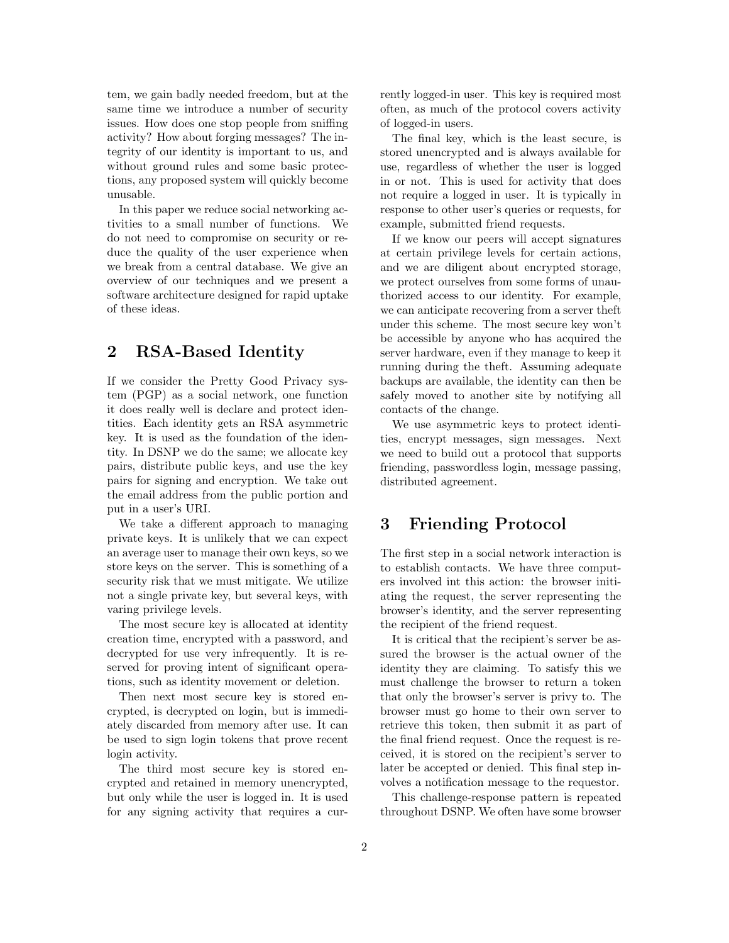tem, we gain badly needed freedom, but at the same time we introduce a number of security issues. How does one stop people from sniffing activity? How about forging messages? The integrity of our identity is important to us, and without ground rules and some basic protections, any proposed system will quickly become unusable.

In this paper we reduce social networking activities to a small number of functions. We do not need to compromise on security or reduce the quality of the user experience when we break from a central database. We give an overview of our techniques and we present a software architecture designed for rapid uptake of these ideas.

# 2 RSA-Based Identity

If we consider the Pretty Good Privacy system (PGP) as a social network, one function it does really well is declare and protect identities. Each identity gets an RSA asymmetric key. It is used as the foundation of the identity. In DSNP we do the same; we allocate key pairs, distribute public keys, and use the key pairs for signing and encryption. We take out the email address from the public portion and put in a user's URI.

We take a different approach to managing private keys. It is unlikely that we can expect an average user to manage their own keys, so we store keys on the server. This is something of a security risk that we must mitigate. We utilize not a single private key, but several keys, with varing privilege levels.

The most secure key is allocated at identity creation time, encrypted with a password, and decrypted for use very infrequently. It is reserved for proving intent of significant operations, such as identity movement or deletion.

Then next most secure key is stored encrypted, is decrypted on login, but is immediately discarded from memory after use. It can be used to sign login tokens that prove recent login activity.

The third most secure key is stored encrypted and retained in memory unencrypted, but only while the user is logged in. It is used for any signing activity that requires a currently logged-in user. This key is required most often, as much of the protocol covers activity of logged-in users.

The final key, which is the least secure, is stored unencrypted and is always available for use, regardless of whether the user is logged in or not. This is used for activity that does not require a logged in user. It is typically in response to other user's queries or requests, for example, submitted friend requests.

If we know our peers will accept signatures at certain privilege levels for certain actions, and we are diligent about encrypted storage, we protect ourselves from some forms of unauthorized access to our identity. For example, we can anticipate recovering from a server theft under this scheme. The most secure key won't be accessible by anyone who has acquired the server hardware, even if they manage to keep it running during the theft. Assuming adequate backups are available, the identity can then be safely moved to another site by notifying all contacts of the change.

We use asymmetric keys to protect identities, encrypt messages, sign messages. Next we need to build out a protocol that supports friending, passwordless login, message passing, distributed agreement.

# 3 Friending Protocol

The first step in a social network interaction is to establish contacts. We have three computers involved int this action: the browser initiating the request, the server representing the browser's identity, and the server representing the recipient of the friend request.

It is critical that the recipient's server be assured the browser is the actual owner of the identity they are claiming. To satisfy this we must challenge the browser to return a token that only the browser's server is privy to. The browser must go home to their own server to retrieve this token, then submit it as part of the final friend request. Once the request is received, it is stored on the recipient's server to later be accepted or denied. This final step involves a notification message to the requestor.

This challenge-response pattern is repeated throughout DSNP. We often have some browser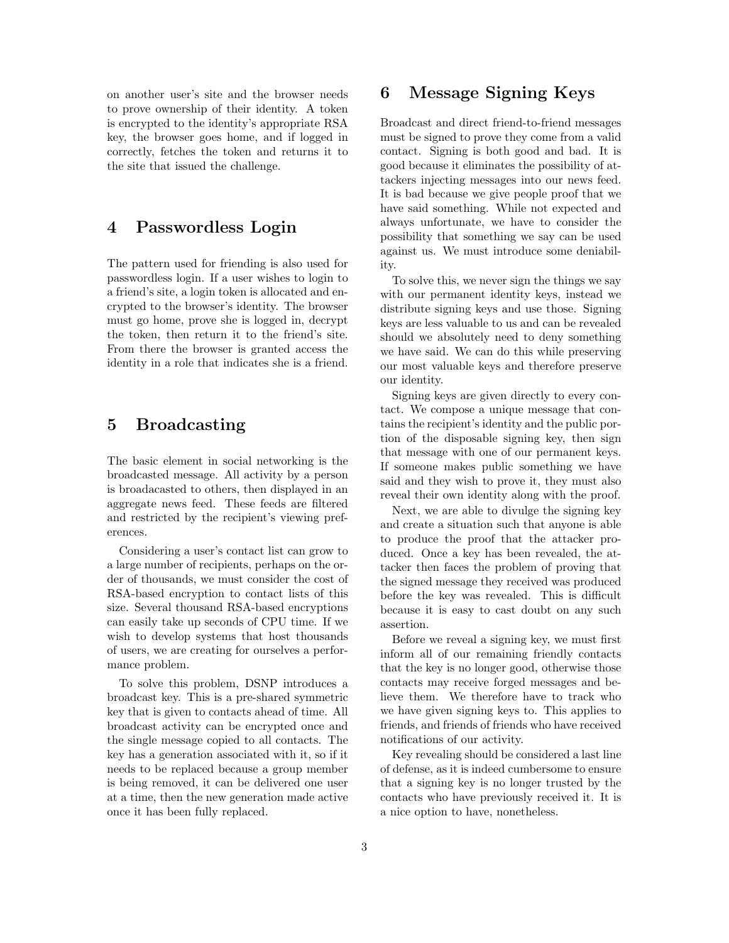on another user's site and the browser needs to prove ownership of their identity. A token is encrypted to the identity's appropriate RSA key, the browser goes home, and if logged in correctly, fetches the token and returns it to the site that issued the challenge.

### 4 Passwordless Login

The pattern used for friending is also used for passwordless login. If a user wishes to login to a friend's site, a login token is allocated and encrypted to the browser's identity. The browser must go home, prove she is logged in, decrypt the token, then return it to the friend's site. From there the browser is granted access the identity in a role that indicates she is a friend.

# 5 Broadcasting

The basic element in social networking is the broadcasted message. All activity by a person is broadacasted to others, then displayed in an aggregate news feed. These feeds are filtered and restricted by the recipient's viewing preferences.

Considering a user's contact list can grow to a large number of recipients, perhaps on the order of thousands, we must consider the cost of RSA-based encryption to contact lists of this size. Several thousand RSA-based encryptions can easily take up seconds of CPU time. If we wish to develop systems that host thousands of users, we are creating for ourselves a performance problem.

To solve this problem, DSNP introduces a broadcast key. This is a pre-shared symmetric key that is given to contacts ahead of time. All broadcast activity can be encrypted once and the single message copied to all contacts. The key has a generation associated with it, so if it needs to be replaced because a group member is being removed, it can be delivered one user at a time, then the new generation made active once it has been fully replaced.

# 6 Message Signing Keys

Broadcast and direct friend-to-friend messages must be signed to prove they come from a valid contact. Signing is both good and bad. It is good because it eliminates the possibility of attackers injecting messages into our news feed. It is bad because we give people proof that we have said something. While not expected and always unfortunate, we have to consider the possibility that something we say can be used against us. We must introduce some deniability.

To solve this, we never sign the things we say with our permanent identity keys, instead we distribute signing keys and use those. Signing keys are less valuable to us and can be revealed should we absolutely need to deny something we have said. We can do this while preserving our most valuable keys and therefore preserve our identity.

Signing keys are given directly to every contact. We compose a unique message that contains the recipient's identity and the public portion of the disposable signing key, then sign that message with one of our permanent keys. If someone makes public something we have said and they wish to prove it, they must also reveal their own identity along with the proof.

Next, we are able to divulge the signing key and create a situation such that anyone is able to produce the proof that the attacker produced. Once a key has been revealed, the attacker then faces the problem of proving that the signed message they received was produced before the key was revealed. This is difficult because it is easy to cast doubt on any such assertion.

Before we reveal a signing key, we must first inform all of our remaining friendly contacts that the key is no longer good, otherwise those contacts may receive forged messages and believe them. We therefore have to track who we have given signing keys to. This applies to friends, and friends of friends who have received notifications of our activity.

Key revealing should be considered a last line of defense, as it is indeed cumbersome to ensure that a signing key is no longer trusted by the contacts who have previously received it. It is a nice option to have, nonetheless.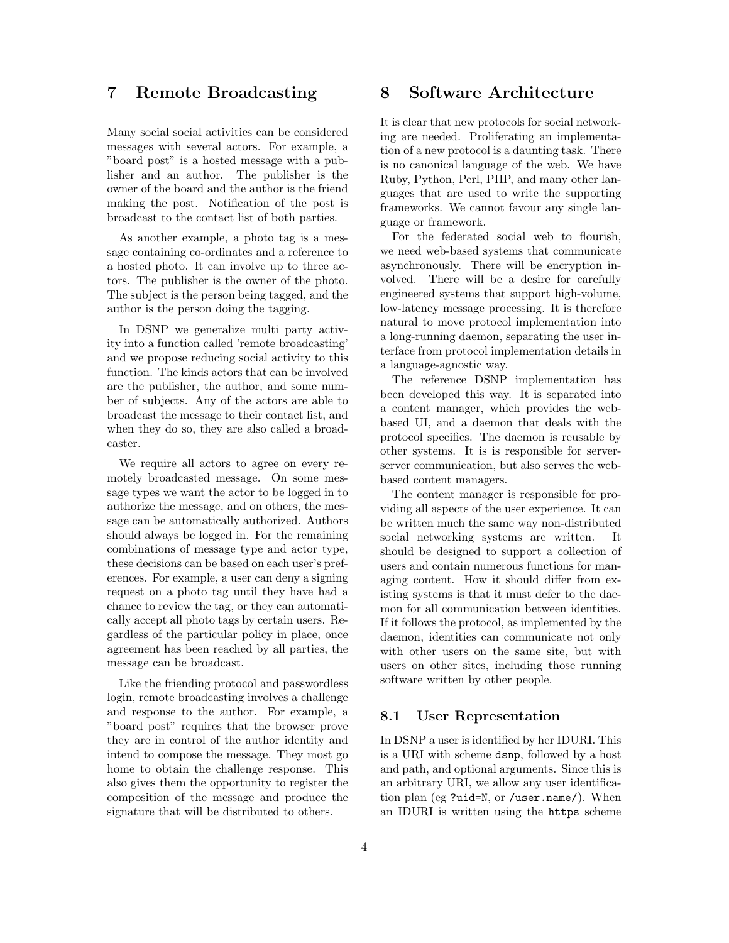### 7 Remote Broadcasting

Many social social activities can be considered messages with several actors. For example, a "board post" is a hosted message with a publisher and an author. The publisher is the owner of the board and the author is the friend making the post. Notification of the post is broadcast to the contact list of both parties.

As another example, a photo tag is a message containing co-ordinates and a reference to a hosted photo. It can involve up to three actors. The publisher is the owner of the photo. The subject is the person being tagged, and the author is the person doing the tagging.

In DSNP we generalize multi party activity into a function called 'remote broadcasting' and we propose reducing social activity to this function. The kinds actors that can be involved are the publisher, the author, and some number of subjects. Any of the actors are able to broadcast the message to their contact list, and when they do so, they are also called a broadcaster.

We require all actors to agree on every remotely broadcasted message. On some message types we want the actor to be logged in to authorize the message, and on others, the message can be automatically authorized. Authors should always be logged in. For the remaining combinations of message type and actor type, these decisions can be based on each user's preferences. For example, a user can deny a signing request on a photo tag until they have had a chance to review the tag, or they can automatically accept all photo tags by certain users. Regardless of the particular policy in place, once agreement has been reached by all parties, the message can be broadcast.

Like the friending protocol and passwordless login, remote broadcasting involves a challenge and response to the author. For example, a "board post" requires that the browser prove they are in control of the author identity and intend to compose the message. They most go home to obtain the challenge response. This also gives them the opportunity to register the composition of the message and produce the signature that will be distributed to others.

### 8 Software Architecture

It is clear that new protocols for social networking are needed. Proliferating an implementation of a new protocol is a daunting task. There is no canonical language of the web. We have Ruby, Python, Perl, PHP, and many other languages that are used to write the supporting frameworks. We cannot favour any single language or framework.

For the federated social web to flourish, we need web-based systems that communicate asynchronously. There will be encryption involved. There will be a desire for carefully engineered systems that support high-volume, low-latency message processing. It is therefore natural to move protocol implementation into a long-running daemon, separating the user interface from protocol implementation details in a language-agnostic way.

The reference DSNP implementation has been developed this way. It is separated into a content manager, which provides the webbased UI, and a daemon that deals with the protocol specifics. The daemon is reusable by other systems. It is is responsible for serverserver communication, but also serves the webbased content managers.

The content manager is responsible for providing all aspects of the user experience. It can be written much the same way non-distributed social networking systems are written. It should be designed to support a collection of users and contain numerous functions for managing content. How it should differ from existing systems is that it must defer to the daemon for all communication between identities. If it follows the protocol, as implemented by the daemon, identities can communicate not only with other users on the same site, but with users on other sites, including those running software written by other people.

#### 8.1 User Representation

In DSNP a user is identified by her IDURI. This is a URI with scheme dsnp, followed by a host and path, and optional arguments. Since this is an arbitrary URI, we allow any user identification plan (eg ?uid=N, or /user.name/). When an IDURI is written using the https scheme